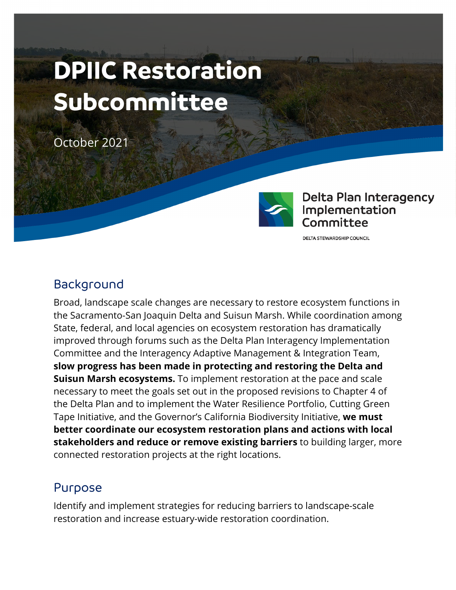# **DPIIC Restoration Subcommittee**

October 2021



**Delta Plan Interagency** Implementation Committee

**DELTA STEWARDSHIP COUNCIL** 

#### Background

Broad, landscape scale changes are necessary to restore ecosystem functions in the Sacramento-San Joaquin Delta and Suisun Marsh. While coordination among State, federal, and local agencies on ecosystem restoration has dramatically improved through forums such as the Delta Plan Interagency Implementation Committee and the Interagency Adaptive Management & Integration Team, **slow progress has been made in protecting and restoring the Delta and Suisun Marsh ecosystems.** To implement restoration at the pace and scale necessary to meet the goals set out in the proposed revisions to Chapter 4 of the Delta Plan and to implement the Water Resilience Portfolio, Cutting Green Tape Initiative, and the Governor's California Biodiversity Initiative, **we must better coordinate our ecosystem restoration plans and actions with local stakeholders and reduce or remove existing barriers** to building larger, more connected restoration projects at the right locations.

## Purpose

Identify and implement strategies for reducing barriers to landscape-scale restoration and increase estuary-wide restoration coordination.